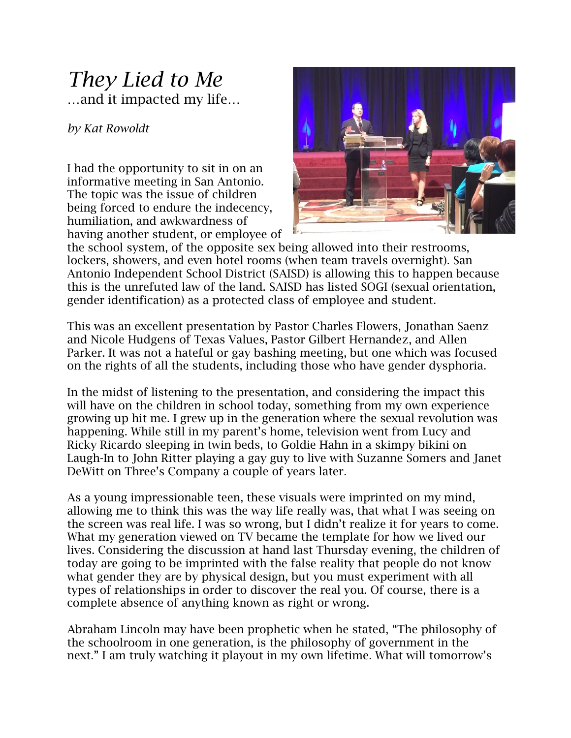## *They Lied to Me* …and it impacted my life…

*by Kat Rowoldt*

I had the opportunity to sit in on an informative meeting in San Antonio. The topic was the issue of children being forced to endure the indecency, humiliation, and awkwardness of having another student, or employee of



the school system, of the opposite sex being allowed into their restrooms, lockers, showers, and even hotel rooms (when team travels overnight). San Antonio Independent School District (SAISD) is allowing this to happen because this is the unrefuted law of the land. SAISD has listed SOGI (sexual orientation, gender identification) as a protected class of employee and student.

This was an excellent presentation by Pastor Charles Flowers, Jonathan Saenz and Nicole Hudgens of Texas Values, Pastor Gilbert Hernandez, and Allen Parker. It was not a hateful or gay bashing meeting, but one which was focused on the rights of all the students, including those who have gender dysphoria.

In the midst of listening to the presentation, and considering the impact this will have on the children in school today, something from my own experience growing up hit me. I grew up in the generation where the sexual revolution was happening. While still in my parent's home, television went from Lucy and Ricky Ricardo sleeping in twin beds, to Goldie Hahn in a skimpy bikini on Laugh-In to John Ritter playing a gay guy to live with Suzanne Somers and Janet DeWitt on Three's Company a couple of years later.

As a young impressionable teen, these visuals were imprinted on my mind, allowing me to think this was the way life really was, that what I was seeing on the screen was real life. I was so wrong, but I didn't realize it for years to come. What my generation viewed on TV became the template for how we lived our lives. Considering the discussion at hand last Thursday evening, the children of today are going to be imprinted with the false reality that people do not know what gender they are by physical design, but you must experiment with all types of relationships in order to discover the real you. Of course, there is a complete absence of anything known as right or wrong.

Abraham Lincoln may have been prophetic when he stated, "The philosophy of the schoolroom in one generation, is the philosophy of government in the next." I am truly watching it playout in my own lifetime. What will tomorrow's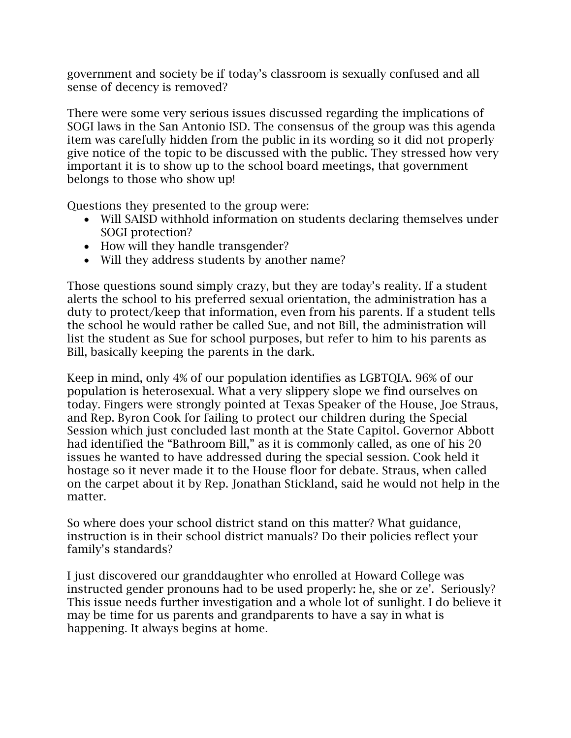government and society be if today's classroom is sexually confused and all sense of decency is removed?

There were some very serious issues discussed regarding the implications of SOGI laws in the San Antonio ISD. The consensus of the group was this agenda item was carefully hidden from the public in its wording so it did not properly give notice of the topic to be discussed with the public. They stressed how very important it is to show up to the school board meetings, that government belongs to those who show up!

Questions they presented to the group were:

- Will SAISD withhold information on students declaring themselves under SOGI protection?
- How will they handle transgender?
- Will they address students by another name?

Those questions sound simply crazy, but they are today's reality. If a student alerts the school to his preferred sexual orientation, the administration has a duty to protect/keep that information, even from his parents. If a student tells the school he would rather be called Sue, and not Bill, the administration will list the student as Sue for school purposes, but refer to him to his parents as Bill, basically keeping the parents in the dark.

Keep in mind, only 4% of our population identifies as LGBTQIA. 96% of our population is heterosexual. What a very slippery slope we find ourselves on today. Fingers were strongly pointed at Texas Speaker of the House, Joe Straus, and Rep. Byron Cook for failing to protect our children during the Special Session which just concluded last month at the State Capitol. Governor Abbott had identified the "Bathroom Bill," as it is commonly called, as one of his 20 issues he wanted to have addressed during the special session. Cook held it hostage so it never made it to the House floor for debate. Straus, when called on the carpet about it by Rep. Jonathan Stickland, said he would not help in the matter.

So where does your school district stand on this matter? What guidance, instruction is in their school district manuals? Do their policies reflect your family's standards?

I just discovered our granddaughter who enrolled at Howard College was instructed gender pronouns had to be used properly: he, she or ze'. Seriously? This issue needs further investigation and a whole lot of sunlight. I do believe it may be time for us parents and grandparents to have a say in what is happening. It always begins at home.